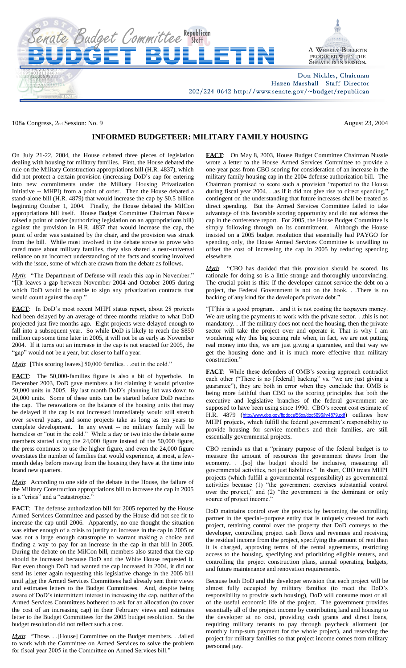

108th Congress, 2nd Session: No. 9 August 23, 2004

## **INFORMED BUDGETEER: MILITARY FAMILY HOUSING**

On July 21-22, 2004, the House debated three pieces of legislation dealing with housing for military families. First, the House debated the rule on the Military Construction appropriations bill (H.R. 4837), which did not protect a certain provision (increasing DoD's cap for entering into new commitments under the Military Housing Privatization Initiative -- MHPI) from a point of order. Then the House debated a stand-alone bill (H.R. 4879) that would increase the cap by \$0.5 billion beginning October 1, 2004. Finally, the House debated the MilCon appropriations bill itself. House Budget Committee Chairman Nussle raised a point of order (authorizing legislation on an appropriations bill) against the provision in H.R. 4837 that would increase the cap, the point of order was sustained by the chair, and the provision was struck from the bill. While most involved in the debate strove to prove who cared more about military families, they also shared a near-universal reliance on an incorrect understanding of the facts and scoring involved with the issue, some of which are drawn from the debate as follows.

*Myth*: "The Department of Defense will reach this cap in November." "[I]t leaves a gap between November 2004 and October 2005 during which DoD would be unable to sign any privatization contracts that would count against the cap."

**FACT**: In DoD's most recent MHPI status report, about 28 projects had been delayed by an average of three months relative to what DoD projected just five months ago. Eight projects were delayed enough to fall into a subsequent year. So while DoD is likely to reach the \$850 million cap some time later in 2005, it will not be as early as November 2004. If it turns out an increase in the cap is not enacted for 2005, the "gap" would not be a year, but closer to half a year.

*Myth*: [This scoring leaves] 50,000 families. . .out in the cold."

**FACT**: The 50,000-families figure is also a bit of hyperbole. In December 2003, DoD gave members a list claiming it would privatize 50,000 units in 2005. By last month DoD's planning list was down to 24,000 units. Some of these units can be started before DoD reaches the cap. The renovations on the balance of the housing units that may be delayed if the cap is not increased immediately would still stretch over several years, and some projects take as long as ten years to complete development. In any event -- no military family will be homeless or "out in the cold." While a day or two into the debate some members started using the 24,000 figure instead of the 50,000 figure, the press continues to use the higher figure, and even the 24,000 figure overstates the number of families that would experience, at most, a fewmonth delay before moving from the housing they have at the time into brand new quarters.

*Myth*: According to one side of the debate in the House, the failure of the Military Construction appropriations bill to increase the cap in 2005 is a "crisis" and a "catastrophe."

**FACT**: The defense authorization bill for 2005 reported by the House Armed Services Committee and passed by the House did not see fit to increase the cap until 2006. Apparently, no one thought the situation was either enough of a crisis to justify an increase in the cap in 2005 or was not a large enough catastrophe to warrant making a choice and finding a way to pay for an increase in the cap in that bill in 2005. During the debate on the MilCon bill, members also stated that the cap should be increased because DoD and the White House requested it. But even though DoD had wanted the cap increased in 2004, it did not send its letter again requesting this legislative change in the 2005 bill until after the Armed Services Committees had already sent their views and estimates letters to the Budget Committees. And, despite being aware of DoD's intermittent interest in increasing the cap, neither of the Armed Services Committees bothered to ask for an allocation (to cover the cost of an increasing cap) in their February views and estimates letter to the Budget Committees for the 2005 budget resolution. So the budget resolution did not reflect such a cost.

*Myth*: "Those. . .[House] Committee on the Budget members. . .failed to work with the Committee on Armed Services to solve the problem for fiscal year 2005 in the Committee on Armed Services bill.'

**FACT**: On May 8, 2003, House Budget Committee Chairman Nussle wrote a letter to the House Armed Services Committee to provide a one-year pass from CBO scoring for consideration of an increase in the military family housing cap in the 2004 defense authorization bill. The Chairman promised to score such a provision "reported to the House during fiscal year 2004. . .as if it did not give rise to direct spending," contingent on the understanding that future increases shall be treated as direct spending. But the Armed Services Committee failed to take advantage of this favorable scoring opportunity and did not address the cap in the conference report. For 2005, the House Budget Committee is simply following through on its commitment. Although the House insisted on a 2005 budget resolution that essentially had PAYGO for spending only, the House Armed Services Committee is unwilling to offset the cost of increasing the cap in 2005 by reducing spending elsewhere.

*Myth*: "CBO has decided that this provision should be scored. Its rationale for doing so is a little strange and thoroughly unconvincing. The crucial point is this: If the developer cannot service the debt on a project, the Federal Government is not on the hook. . .There is no backing of any kind for the developer's private debt."

"[T]his is a good program. . .and it is not costing the taxpayers money. We are using the payments to work with the private sector. . .this is not mandatory. . .If the military does not need the housing, then the private sector will take the project over and operate it. That is why I am wondering why this big scoring rule when, in fact, we are not putting real money into this, we are just giving a guarantee, and that way we get the housing done and it is much more effective than military construction."

**FACT**: While these defenders of OMB's scoring approach contradict each other ("There is no [federal] backing" vs. "we are just giving a guarantee"), they are both in error when they conclude that OMB is being more faithful than CBO to the scoring principles that both the executive and legislative branches of the federal government are supposed to have been using since 1990. CBO's recent cost estimate of H.R. 4879 (<http://www.cbo.gov/ftpdocs/56xx/doc5696/hr4879.pdf>) outlines how MHPI projects, which fulfill the federal government's responsibility to provide housing for service members and their families, are still essentially governmental projects.

CBO reminds us that a "primary purpose of the federal budget is to measure the amount of resources the government draws from the economy. . .[so] the budget should be inclusive, measuring all governmental activities, not just liabilities." In short, CBO treats MHPI projects (which fulfill a governmental responsibility) as governmental activities because (1) "the government exercises substantial control over the project," and (2) "the government is the dominant or only source of project income.'

DoD maintains control over the projects by becoming the controlling partner in the special–purpose entity that is uniquely created for each project, retaining control over the property that DoD conveys to the developer, controlling project cash flows and revenues and receiving the residual income from the project, specifying the amount of rent than it is charged, approving terms of the rental agreements, restricting access to the housing, specifying and prioritizing eligible renters, and controlling the project construction plans, annual operating budgets, and future maintenance and renovation requirements.

Because both DoD and the developer envision that each project will be almost fully occupied by military families (to meet the DoD's responsibility to provide such housing), DoD will consume most or all of the useful economic life of the project. The government provides essentially all of the project income by contributing land and housing to the developer at no cost, providing cash grants and direct loans, requiring military tenants to pay through paycheck allotment (or monthly lump-sum payment for the whole project), and reserving the project for military families so that project income comes from military personnel pay.